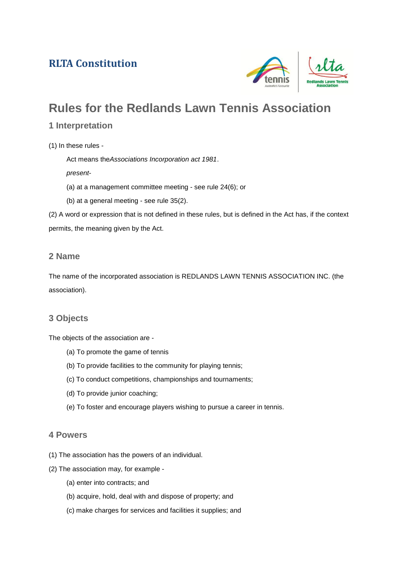# **RLTA Constitution**



# **Rules for the Redlands Lawn Tennis Association**

## **1 Interpretation**

(1) In these rules -

Act means the*Associations Incorporation act 1981*.

*present*-

- (a) at a management committee meeting see rule 24(6); or
- (b) at a general meeting see rule 35(2).

(2) A word or expression that is not defined in these rules, but is defined in the Act has, if the context permits, the meaning given by the Act.

## **2 Name**

The name of the incorporated association is REDLANDS LAWN TENNIS ASSOCIATION INC. (the association).

## **3 Objects**

The objects of the association are -

- (a) To promote the game of tennis
- (b) To provide facilities to the community for playing tennis;
- (c) To conduct competitions, championships and tournaments;
- (d) To provide junior coaching;
- (e) To foster and encourage players wishing to pursue a career in tennis.

## **4 Powers**

- (1) The association has the powers of an individual.
- (2) The association may, for example
	- (a) enter into contracts; and
	- (b) acquire, hold, deal with and dispose of property; and
	- (c) make charges for services and facilities it supplies; and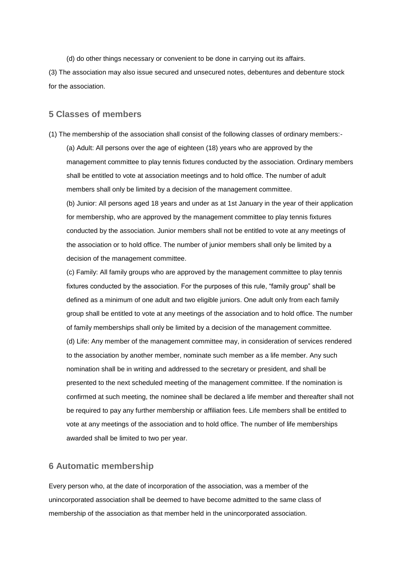(d) do other things necessary or convenient to be done in carrying out its affairs.

(3) The association may also issue secured and unsecured notes, debentures and debenture stock for the association.

#### **5 Classes of members**

(1) The membership of the association shall consist of the following classes of ordinary members:- (a) Adult: All persons over the age of eighteen (18) years who are approved by the management committee to play tennis fixtures conducted by the association. Ordinary members shall be entitled to vote at association meetings and to hold office. The number of adult members shall only be limited by a decision of the management committee.

(b) Junior: All persons aged 18 years and under as at 1st January in the year of their application for membership, who are approved by the management committee to play tennis fixtures conducted by the association. Junior members shall not be entitled to vote at any meetings of the association or to hold office. The number of junior members shall only be limited by a decision of the management committee.

(c) Family: All family groups who are approved by the management committee to play tennis fixtures conducted by the association. For the purposes of this rule, "family group" shall be defined as a minimum of one adult and two eligible juniors. One adult only from each family group shall be entitled to vote at any meetings of the association and to hold office. The number of family memberships shall only be limited by a decision of the management committee. (d) Life: Any member of the management committee may, in consideration of services rendered to the association by another member, nominate such member as a life member. Any such nomination shall be in writing and addressed to the secretary or president, and shall be presented to the next scheduled meeting of the management committee. If the nomination is confirmed at such meeting, the nominee shall be declared a life member and thereafter shall not be required to pay any further membership or affiliation fees. Life members shall be entitled to vote at any meetings of the association and to hold office. The number of life memberships awarded shall be limited to two per year.

## **6 Automatic membership**

Every person who, at the date of incorporation of the association, was a member of the unincorporated association shall be deemed to have become admitted to the same class of membership of the association as that member held in the unincorporated association.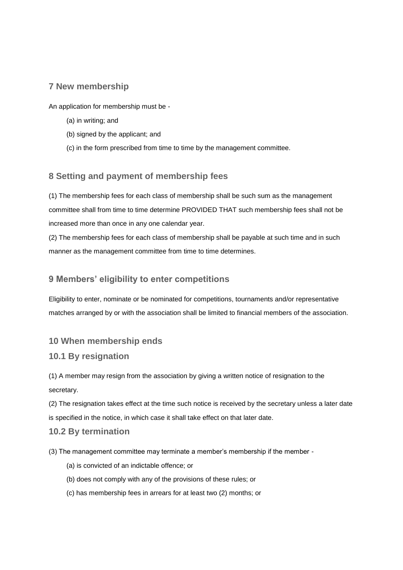## **7 New membership**

An application for membership must be -

- (a) in writing; and
- (b) signed by the applicant; and
- (c) in the form prescribed from time to time by the management committee.

## **8 Setting and payment of membership fees**

(1) The membership fees for each class of membership shall be such sum as the management committee shall from time to time determine PROVIDED THAT such membership fees shall not be increased more than once in any one calendar year.

(2) The membership fees for each class of membership shall be payable at such time and in such manner as the management committee from time to time determines.

## **9 Members' eligibility to enter competitions**

Eligibility to enter, nominate or be nominated for competitions, tournaments and/or representative matches arranged by or with the association shall be limited to financial members of the association.

## **10 When membership ends**

## **10.1 By resignation**

(1) A member may resign from the association by giving a written notice of resignation to the secretary.

(2) The resignation takes effect at the time such notice is received by the secretary unless a later date is specified in the notice, in which case it shall take effect on that later date.

## **10.2 By termination**

- (3) The management committee may terminate a member's membership if the member
	- (a) is convicted of an indictable offence; or
	- (b) does not comply with any of the provisions of these rules; or
	- (c) has membership fees in arrears for at least two (2) months; or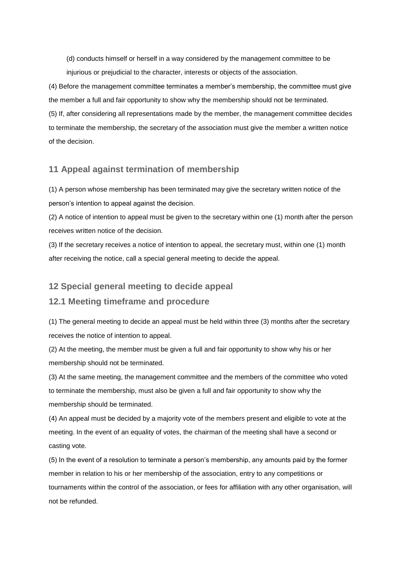(d) conducts himself or herself in a way considered by the management committee to be injurious or prejudicial to the character, interests or objects of the association.

(4) Before the management committee terminates a member's membership, the committee must give the member a full and fair opportunity to show why the membership should not be terminated. (5) If, after considering all representations made by the member, the management committee decides to terminate the membership, the secretary of the association must give the member a written notice of the decision.

## **11 Appeal against termination of membership**

(1) A person whose membership has been terminated may give the secretary written notice of the person's intention to appeal against the decision.

(2) A notice of intention to appeal must be given to the secretary within one (1) month after the person receives written notice of the decision.

(3) If the secretary receives a notice of intention to appeal, the secretary must, within one (1) month after receiving the notice, call a special general meeting to decide the appeal.

#### **12 Special general meeting to decide appeal**

#### **12.1 Meeting timeframe and procedure**

(1) The general meeting to decide an appeal must be held within three (3) months after the secretary receives the notice of intention to appeal.

(2) At the meeting, the member must be given a full and fair opportunity to show why his or her membership should not be terminated.

(3) At the same meeting, the management committee and the members of the committee who voted to terminate the membership, must also be given a full and fair opportunity to show why the membership should be terminated.

(4) An appeal must be decided by a majority vote of the members present and eligible to vote at the meeting. In the event of an equality of votes, the chairman of the meeting shall have a second or casting vote.

(5) In the event of a resolution to terminate a person's membership, any amounts paid by the former member in relation to his or her membership of the association, entry to any competitions or tournaments within the control of the association, or fees for affiliation with any other organisation, will not be refunded.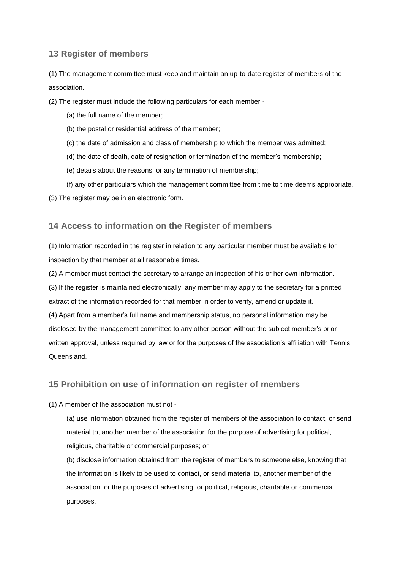## **13 Register of members**

(1) The management committee must keep and maintain an up-to-date register of members of the association.

(2) The register must include the following particulars for each member -

- (a) the full name of the member;
- (b) the postal or residential address of the member;
- (c) the date of admission and class of membership to which the member was admitted;
- (d) the date of death, date of resignation or termination of the member's membership;
- (e) details about the reasons for any termination of membership;
- (f) any other particulars which the management committee from time to time deems appropriate.

(3) The register may be in an electronic form.

#### **14 Access to information on the Register of members**

(1) Information recorded in the register in relation to any particular member must be available for inspection by that member at all reasonable times.

(2) A member must contact the secretary to arrange an inspection of his or her own information.

(3) If the register is maintained electronically, any member may apply to the secretary for a printed extract of the information recorded for that member in order to verify, amend or update it.

(4) Apart from a member's full name and membership status, no personal information may be disclosed by the management committee to any other person without the subject member's prior written approval, unless required by law or for the purposes of the association's affiliation with Tennis Queensland.

## **15 Prohibition on use of information on register of members**

#### (1) A member of the association must not -

(a) use information obtained from the register of members of the association to contact, or send material to, another member of the association for the purpose of advertising for political, religious, charitable or commercial purposes; or

(b) disclose information obtained from the register of members to someone else, knowing that the information is likely to be used to contact, or send material to, another member of the association for the purposes of advertising for political, religious, charitable or commercial purposes.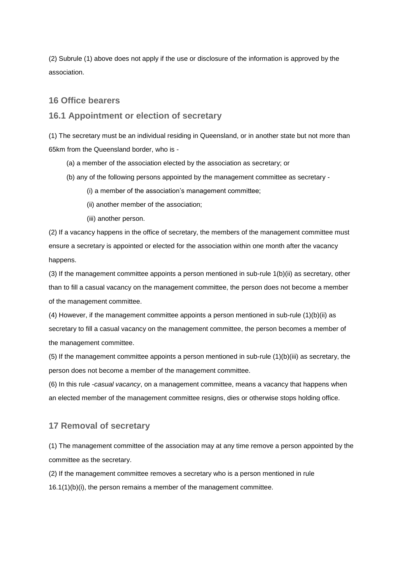(2) Subrule (1) above does not apply if the use or disclosure of the information is approved by the association.

#### **16 Office bearers**

#### **16.1 Appointment or election of secretary**

(1) The secretary must be an individual residing in Queensland, or in another state but not more than 65km from the Queensland border, who is -

- (a) a member of the association elected by the association as secretary; or
- (b) any of the following persons appointed by the management committee as secretary
	- (i) a member of the association's management committee;
	- (ii) another member of the association;
	- (iii) another person.

(2) If a vacancy happens in the office of secretary, the members of the management committee must ensure a secretary is appointed or elected for the association within one month after the vacancy happens.

(3) If the management committee appoints a person mentioned in sub-rule 1(b)(ii) as secretary, other than to fill a casual vacancy on the management committee, the person does not become a member of the management committee.

(4) However, if the management committee appoints a person mentioned in sub-rule (1)(b)(ii) as secretary to fill a casual vacancy on the management committee, the person becomes a member of the management committee.

(5) If the management committee appoints a person mentioned in sub-rule  $(1)(b)(iii)$  as secretary, the person does not become a member of the management committee.

(6) In this rule -*casual vacancy*, on a management committee, means a vacancy that happens when an elected member of the management committee resigns, dies or otherwise stops holding office.

#### **17 Removal of secretary**

(1) The management committee of the association may at any time remove a person appointed by the committee as the secretary.

(2) If the management committee removes a secretary who is a person mentioned in rule 16.1(1)(b)(i), the person remains a member of the management committee.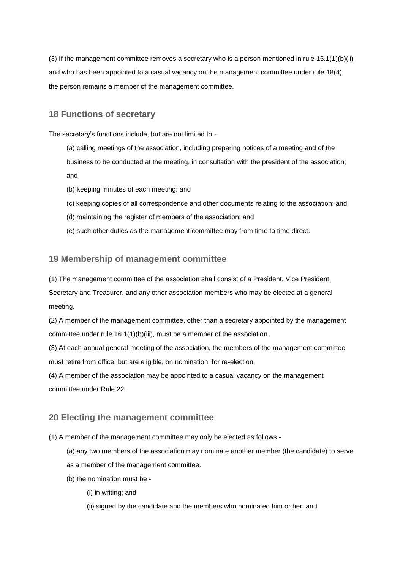(3) If the management committee removes a secretary who is a person mentioned in rule  $16.1(1)(b)(ii)$ and who has been appointed to a casual vacancy on the management committee under rule 18(4), the person remains a member of the management committee.

## **18 Functions of secretary**

The secretary's functions include, but are not limited to -

- (a) calling meetings of the association, including preparing notices of a meeting and of the business to be conducted at the meeting, in consultation with the president of the association; and
- (b) keeping minutes of each meeting; and
- (c) keeping copies of all correspondence and other documents relating to the association; and
- (d) maintaining the register of members of the association; and
- (e) such other duties as the management committee may from time to time direct.

#### **19 Membership of management committee**

(1) The management committee of the association shall consist of a President, Vice President, Secretary and Treasurer, and any other association members who may be elected at a general meeting.

(2) A member of the management committee, other than a secretary appointed by the management committee under rule 16.1(1)(b)(iii), must be a member of the association.

(3) At each annual general meeting of the association, the members of the management committee must retire from office, but are eligible, on nomination, for re-election.

(4) A member of the association may be appointed to a casual vacancy on the management committee under Rule 22.

#### **20 Electing the management committee**

- (1) A member of the management committee may only be elected as follows
	- (a) any two members of the association may nominate another member (the candidate) to serve as a member of the management committee.
	- (b) the nomination must be
		- (i) in writing; and
		- (ii) signed by the candidate and the members who nominated him or her; and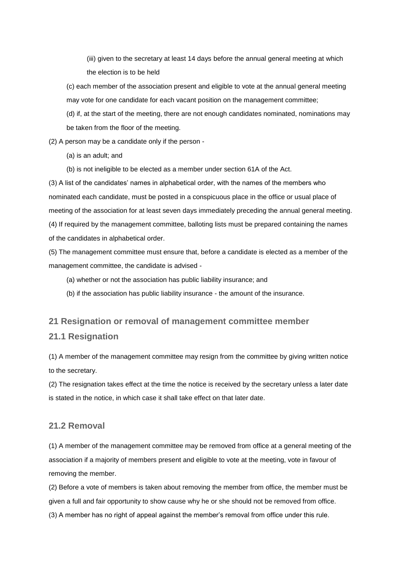(iii) given to the secretary at least 14 days before the annual general meeting at which the election is to be held

(c) each member of the association present and eligible to vote at the annual general meeting may vote for one candidate for each vacant position on the management committee;

(d) if, at the start of the meeting, there are not enough candidates nominated, nominations may be taken from the floor of the meeting.

(2) A person may be a candidate only if the person -

(a) is an adult; and

(b) is not ineligible to be elected as a member under section 61A of the Act.

(3) A list of the candidates' names in alphabetical order, with the names of the members who nominated each candidate, must be posted in a conspicuous place in the office or usual place of meeting of the association for at least seven days immediately preceding the annual general meeting. (4) If required by the management committee, balloting lists must be prepared containing the names of the candidates in alphabetical order.

(5) The management committee must ensure that, before a candidate is elected as a member of the management committee, the candidate is advised -

(a) whether or not the association has public liability insurance; and

(b) if the association has public liability insurance - the amount of the insurance.

## **21 Resignation or removal of management committee member 21.1 Resignation**

(1) A member of the management committee may resign from the committee by giving written notice to the secretary.

(2) The resignation takes effect at the time the notice is received by the secretary unless a later date is stated in the notice, in which case it shall take effect on that later date.

## **21.2 Removal**

(1) A member of the management committee may be removed from office at a general meeting of the association if a majority of members present and eligible to vote at the meeting, vote in favour of removing the member.

(2) Before a vote of members is taken about removing the member from office, the member must be given a full and fair opportunity to show cause why he or she should not be removed from office.

(3) A member has no right of appeal against the member's removal from office under this rule.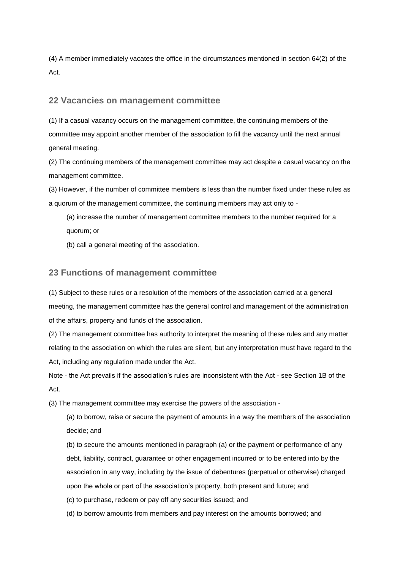(4) A member immediately vacates the office in the circumstances mentioned in section 64(2) of the Act.

#### **22 Vacancies on management committee**

(1) If a casual vacancy occurs on the management committee, the continuing members of the committee may appoint another member of the association to fill the vacancy until the next annual general meeting.

(2) The continuing members of the management committee may act despite a casual vacancy on the management committee.

(3) However, if the number of committee members is less than the number fixed under these rules as a quorum of the management committee, the continuing members may act only to -

(a) increase the number of management committee members to the number required for a quorum; or

(b) call a general meeting of the association.

#### **23 Functions of management committee**

(1) Subject to these rules or a resolution of the members of the association carried at a general meeting, the management committee has the general control and management of the administration of the affairs, property and funds of the association.

(2) The management committee has authority to interpret the meaning of these rules and any matter relating to the association on which the rules are silent, but any interpretation must have regard to the Act, including any regulation made under the Act.

Note - the Act prevails if the association's rules are inconsistent with the Act - see Section 1B of the Act.

(3) The management committee may exercise the powers of the association -

(a) to borrow, raise or secure the payment of amounts in a way the members of the association decide; and

(b) to secure the amounts mentioned in paragraph (a) or the payment or performance of any debt, liability, contract, guarantee or other engagement incurred or to be entered into by the association in any way, including by the issue of debentures (perpetual or otherwise) charged upon the whole or part of the association's property, both present and future; and

(c) to purchase, redeem or pay off any securities issued; and

(d) to borrow amounts from members and pay interest on the amounts borrowed; and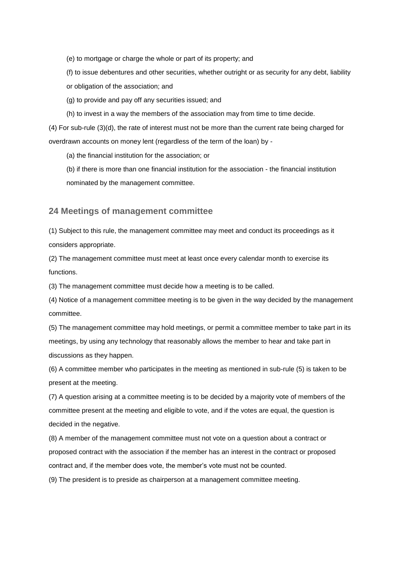(e) to mortgage or charge the whole or part of its property; and

(f) to issue debentures and other securities, whether outright or as security for any debt, liability or obligation of the association; and

(g) to provide and pay off any securities issued; and

(h) to invest in a way the members of the association may from time to time decide.

(4) For sub-rule (3)(d), the rate of interest must not be more than the current rate being charged for overdrawn accounts on money lent (regardless of the term of the loan) by -

(a) the financial institution for the association; or

(b) if there is more than one financial institution for the association - the financial institution nominated by the management committee.

#### **24 Meetings of management committee**

(1) Subject to this rule, the management committee may meet and conduct its proceedings as it considers appropriate.

(2) The management committee must meet at least once every calendar month to exercise its functions.

(3) The management committee must decide how a meeting is to be called.

(4) Notice of a management committee meeting is to be given in the way decided by the management committee.

(5) The management committee may hold meetings, or permit a committee member to take part in its meetings, by using any technology that reasonably allows the member to hear and take part in discussions as they happen.

(6) A committee member who participates in the meeting as mentioned in sub-rule (5) is taken to be present at the meeting.

(7) A question arising at a committee meeting is to be decided by a majority vote of members of the committee present at the meeting and eligible to vote, and if the votes are equal, the question is decided in the negative.

(8) A member of the management committee must not vote on a question about a contract or proposed contract with the association if the member has an interest in the contract or proposed contract and, if the member does vote, the member's vote must not be counted.

(9) The president is to preside as chairperson at a management committee meeting.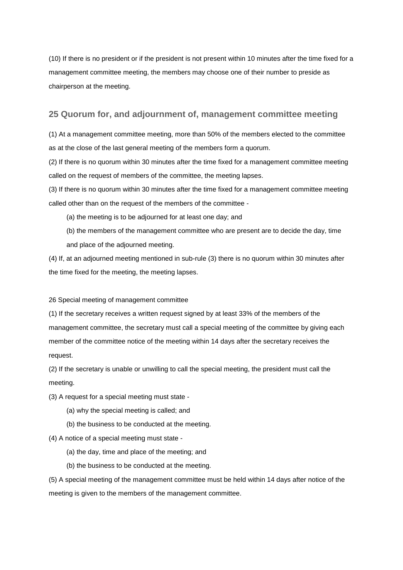(10) If there is no president or if the president is not present within 10 minutes after the time fixed for a management committee meeting, the members may choose one of their number to preside as chairperson at the meeting.

#### **25 Quorum for, and adjournment of, management committee meeting**

(1) At a management committee meeting, more than 50% of the members elected to the committee as at the close of the last general meeting of the members form a quorum.

(2) If there is no quorum within 30 minutes after the time fixed for a management committee meeting called on the request of members of the committee, the meeting lapses.

(3) If there is no quorum within 30 minutes after the time fixed for a management committee meeting called other than on the request of the members of the committee -

- (a) the meeting is to be adjourned for at least one day; and
- (b) the members of the management committee who are present are to decide the day, time and place of the adjourned meeting.

(4) If, at an adjourned meeting mentioned in sub-rule (3) there is no quorum within 30 minutes after the time fixed for the meeting, the meeting lapses.

#### 26 Special meeting of management committee

(1) If the secretary receives a written request signed by at least 33% of the members of the management committee, the secretary must call a special meeting of the committee by giving each member of the committee notice of the meeting within 14 days after the secretary receives the request.

(2) If the secretary is unable or unwilling to call the special meeting, the president must call the meeting.

- (3) A request for a special meeting must state
	- (a) why the special meeting is called; and
	- (b) the business to be conducted at the meeting.

#### (4) A notice of a special meeting must state -

- (a) the day, time and place of the meeting; and
- (b) the business to be conducted at the meeting.

(5) A special meeting of the management committee must be held within 14 days after notice of the meeting is given to the members of the management committee.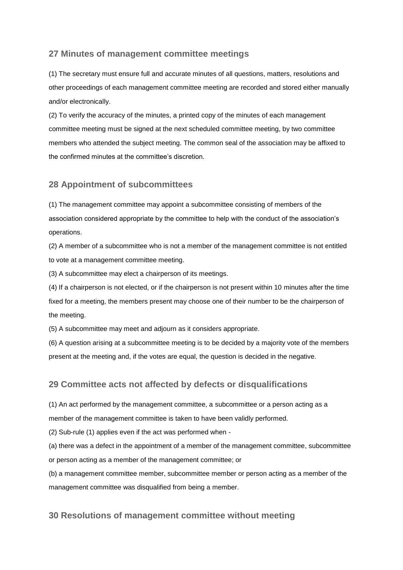## **27 Minutes of management committee meetings**

(1) The secretary must ensure full and accurate minutes of all questions, matters, resolutions and other proceedings of each management committee meeting are recorded and stored either manually and/or electronically.

(2) To verify the accuracy of the minutes, a printed copy of the minutes of each management committee meeting must be signed at the next scheduled committee meeting, by two committee members who attended the subject meeting. The common seal of the association may be affixed to the confirmed minutes at the committee's discretion.

#### **28 Appointment of subcommittees**

(1) The management committee may appoint a subcommittee consisting of members of the association considered appropriate by the committee to help with the conduct of the association's operations.

(2) A member of a subcommittee who is not a member of the management committee is not entitled to vote at a management committee meeting.

(3) A subcommittee may elect a chairperson of its meetings.

(4) If a chairperson is not elected, or if the chairperson is not present within 10 minutes after the time fixed for a meeting, the members present may choose one of their number to be the chairperson of the meeting.

(5) A subcommittee may meet and adjourn as it considers appropriate.

(6) A question arising at a subcommittee meeting is to be decided by a majority vote of the members present at the meeting and, if the votes are equal, the question is decided in the negative.

#### **29 Committee acts not affected by defects or disqualifications**

(1) An act performed by the management committee, a subcommittee or a person acting as a member of the management committee is taken to have been validly performed.

(2) Sub-rule (1) applies even if the act was performed when -

(a) there was a defect in the appointment of a member of the management committee, subcommittee or person acting as a member of the management committee; or

(b) a management committee member, subcommittee member or person acting as a member of the management committee was disqualified from being a member.

#### **30 Resolutions of management committee without meeting**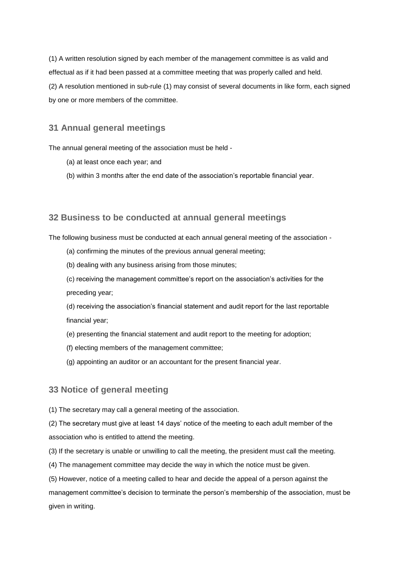(1) A written resolution signed by each member of the management committee is as valid and effectual as if it had been passed at a committee meeting that was properly called and held. (2) A resolution mentioned in sub-rule (1) may consist of several documents in like form, each signed by one or more members of the committee.

## **31 Annual general meetings**

The annual general meeting of the association must be held -

- (a) at least once each year; and
- (b) within 3 months after the end date of the association's reportable financial year.

#### **32 Business to be conducted at annual general meetings**

The following business must be conducted at each annual general meeting of the association -

- (a) confirming the minutes of the previous annual general meeting;
- (b) dealing with any business arising from those minutes;

(c) receiving the management committee's report on the association's activities for the preceding year;

(d) receiving the association's financial statement and audit report for the last reportable financial year;

- (e) presenting the financial statement and audit report to the meeting for adoption;
- (f) electing members of the management committee;
- (g) appointing an auditor or an accountant for the present financial year.

#### **33 Notice of general meeting**

(1) The secretary may call a general meeting of the association.

(2) The secretary must give at least 14 days' notice of the meeting to each adult member of the association who is entitled to attend the meeting.

- (3) If the secretary is unable or unwilling to call the meeting, the president must call the meeting.
- (4) The management committee may decide the way in which the notice must be given.

(5) However, notice of a meeting called to hear and decide the appeal of a person against the management committee's decision to terminate the person's membership of the association, must be given in writing.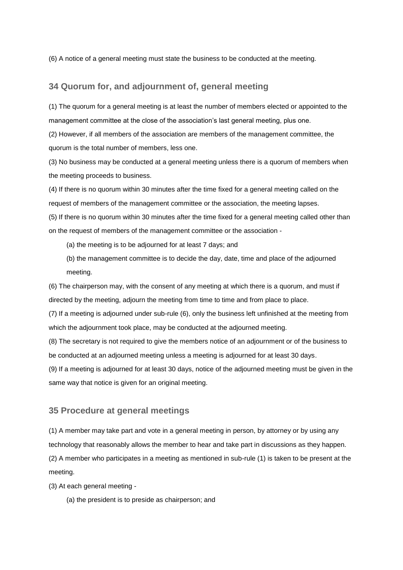(6) A notice of a general meeting must state the business to be conducted at the meeting.

## **34 Quorum for, and adjournment of, general meeting**

(1) The quorum for a general meeting is at least the number of members elected or appointed to the management committee at the close of the association's last general meeting, plus one.

(2) However, if all members of the association are members of the management committee, the quorum is the total number of members, less one.

(3) No business may be conducted at a general meeting unless there is a quorum of members when the meeting proceeds to business.

(4) If there is no quorum within 30 minutes after the time fixed for a general meeting called on the request of members of the management committee or the association, the meeting lapses.

(5) If there is no quorum within 30 minutes after the time fixed for a general meeting called other than on the request of members of the management committee or the association -

- (a) the meeting is to be adjourned for at least 7 days; and
- (b) the management committee is to decide the day, date, time and place of the adjourned meeting.

(6) The chairperson may, with the consent of any meeting at which there is a quorum, and must if directed by the meeting, adjourn the meeting from time to time and from place to place.

(7) If a meeting is adjourned under sub-rule (6), only the business left unfinished at the meeting from which the adjournment took place, may be conducted at the adjourned meeting.

(8) The secretary is not required to give the members notice of an adjournment or of the business to be conducted at an adjourned meeting unless a meeting is adjourned for at least 30 days.

(9) If a meeting is adjourned for at least 30 days, notice of the adjourned meeting must be given in the same way that notice is given for an original meeting.

#### **35 Procedure at general meetings**

(1) A member may take part and vote in a general meeting in person, by attorney or by using any technology that reasonably allows the member to hear and take part in discussions as they happen. (2) A member who participates in a meeting as mentioned in sub-rule (1) is taken to be present at the meeting.

(3) At each general meeting -

(a) the president is to preside as chairperson; and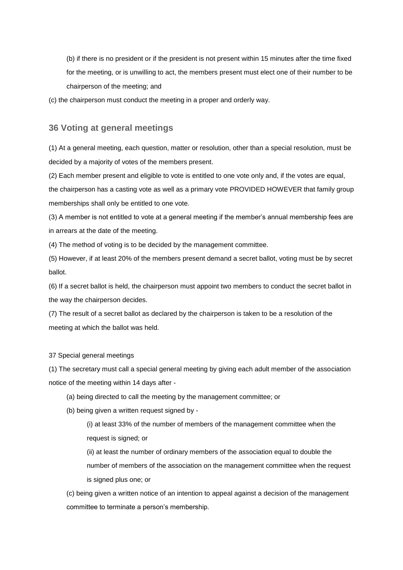(b) if there is no president or if the president is not present within 15 minutes after the time fixed for the meeting, or is unwilling to act, the members present must elect one of their number to be chairperson of the meeting; and

(c) the chairperson must conduct the meeting in a proper and orderly way.

#### **36 Voting at general meetings**

(1) At a general meeting, each question, matter or resolution, other than a special resolution, must be decided by a majority of votes of the members present.

(2) Each member present and eligible to vote is entitled to one vote only and, if the votes are equal, the chairperson has a casting vote as well as a primary vote PROVIDED HOWEVER that family group memberships shall only be entitled to one vote.

(3) A member is not entitled to vote at a general meeting if the member's annual membership fees are in arrears at the date of the meeting.

(4) The method of voting is to be decided by the management committee.

(5) However, if at least 20% of the members present demand a secret ballot, voting must be by secret ballot.

(6) If a secret ballot is held, the chairperson must appoint two members to conduct the secret ballot in the way the chairperson decides.

(7) The result of a secret ballot as declared by the chairperson is taken to be a resolution of the meeting at which the ballot was held.

37 Special general meetings

(1) The secretary must call a special general meeting by giving each adult member of the association notice of the meeting within 14 days after -

- (a) being directed to call the meeting by the management committee; or
- (b) being given a written request signed by -

(i) at least 33% of the number of members of the management committee when the request is signed; or

(ii) at least the number of ordinary members of the association equal to double the number of members of the association on the management committee when the request is signed plus one; or

(c) being given a written notice of an intention to appeal against a decision of the management committee to terminate a person's membership.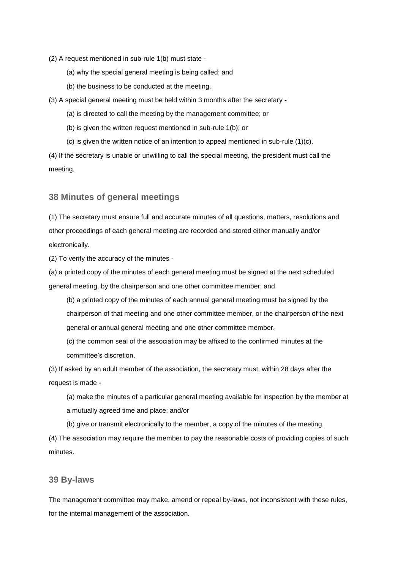- (2) A request mentioned in sub-rule 1(b) must state
	- (a) why the special general meeting is being called; and
	- (b) the business to be conducted at the meeting.

(3) A special general meeting must be held within 3 months after the secretary -

- (a) is directed to call the meeting by the management committee; or
- (b) is given the written request mentioned in sub-rule 1(b); or
- (c) is given the written notice of an intention to appeal mentioned in sub-rule (1)(c).

(4) If the secretary is unable or unwilling to call the special meeting, the president must call the meeting.

#### **38 Minutes of general meetings**

(1) The secretary must ensure full and accurate minutes of all questions, matters, resolutions and other proceedings of each general meeting are recorded and stored either manually and/or electronically.

(2) To verify the accuracy of the minutes -

(a) a printed copy of the minutes of each general meeting must be signed at the next scheduled general meeting, by the chairperson and one other committee member; and

(b) a printed copy of the minutes of each annual general meeting must be signed by the chairperson of that meeting and one other committee member, or the chairperson of the next general or annual general meeting and one other committee member.

(c) the common seal of the association may be affixed to the confirmed minutes at the committee's discretion.

(3) If asked by an adult member of the association, the secretary must, within 28 days after the request is made -

(a) make the minutes of a particular general meeting available for inspection by the member at a mutually agreed time and place; and/or

(b) give or transmit electronically to the member, a copy of the minutes of the meeting.

(4) The association may require the member to pay the reasonable costs of providing copies of such minutes.

#### **39 By-laws**

The management committee may make, amend or repeal by-laws, not inconsistent with these rules, for the internal management of the association.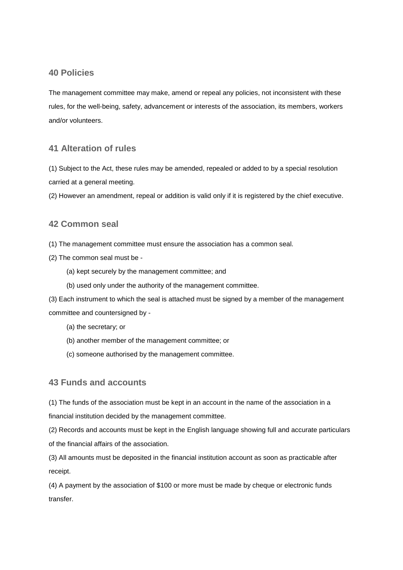## **40 Policies**

The management committee may make, amend or repeal any policies, not inconsistent with these rules, for the well-being, safety, advancement or interests of the association, its members, workers and/or volunteers.

## **41 Alteration of rules**

(1) Subject to the Act, these rules may be amended, repealed or added to by a special resolution carried at a general meeting.

(2) However an amendment, repeal or addition is valid only if it is registered by the chief executive.

## **42 Common seal**

(1) The management committee must ensure the association has a common seal.

- (2) The common seal must be
	- (a) kept securely by the management committee; and
	- (b) used only under the authority of the management committee.

(3) Each instrument to which the seal is attached must be signed by a member of the management committee and countersigned by -

- (a) the secretary; or
- (b) another member of the management committee; or
- (c) someone authorised by the management committee.

## **43 Funds and accounts**

(1) The funds of the association must be kept in an account in the name of the association in a financial institution decided by the management committee.

(2) Records and accounts must be kept in the English language showing full and accurate particulars of the financial affairs of the association.

(3) All amounts must be deposited in the financial institution account as soon as practicable after receipt.

(4) A payment by the association of \$100 or more must be made by cheque or electronic funds transfer.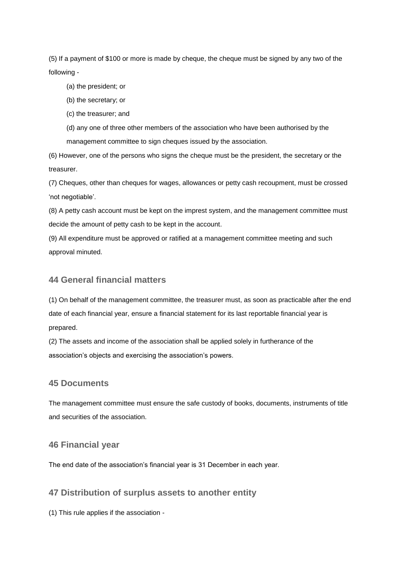(5) If a payment of \$100 or more is made by cheque, the cheque must be signed by any two of the following -

(a) the president; or

(b) the secretary; or

(c) the treasurer; and

(d) any one of three other members of the association who have been authorised by the management committee to sign cheques issued by the association.

(6) However, one of the persons who signs the cheque must be the president, the secretary or the treasurer.

(7) Cheques, other than cheques for wages, allowances or petty cash recoupment, must be crossed 'not negotiable'.

(8) A petty cash account must be kept on the imprest system, and the management committee must decide the amount of petty cash to be kept in the account.

(9) All expenditure must be approved or ratified at a management committee meeting and such approval minuted.

## **44 General financial matters**

(1) On behalf of the management committee, the treasurer must, as soon as practicable after the end date of each financial year, ensure a financial statement for its last reportable financial year is prepared.

(2) The assets and income of the association shall be applied solely in furtherance of the association's objects and exercising the association's powers.

#### **45 Documents**

The management committee must ensure the safe custody of books, documents, instruments of title and securities of the association.

## **46 Financial year**

The end date of the association's financial year is 31 December in each year.

## **47 Distribution of surplus assets to another entity**

(1) This rule applies if the association -